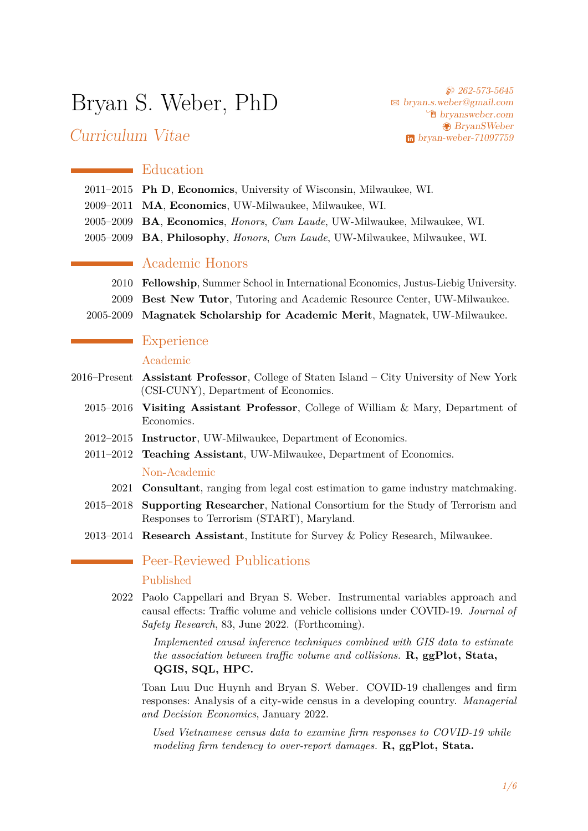# Bryan S. Weber, PhD

Curriculum Vitae

**262-573-5645** B [bryan.s.weber@gmail.com](mailto:bryan.s.weber@gmail.com) Í [bryansweber.com](https://bryansweber.com) [BryanSWeber](https://github.com/BryanSWeber) [bryan-weber-71097759](https://www.linkedin.com/in/bryan-weber-71097759)

## **E**ducation

- 2011–2015 **Ph D**, **Economics**, University of Wisconsin, Milwaukee, WI.
- 2009–2011 **MA**, **Economics**, UW-Milwaukee, Milwaukee, WI.
- 2005–2009 **BA**, **Economics**, *Honors*, *Cum Laude*, UW-Milwaukee, Milwaukee, WI.
- 2005–2009 **BA**, **Philosophy**, *Honors*, *Cum Laude*, UW-Milwaukee, Milwaukee, WI.

## Academic Honors

- 2010 **Fellowship**, Summer School in International Economics, Justus-Liebig University.
- 2009 **Best New Tutor**, Tutoring and Academic Resource Center, UW-Milwaukee.
- 2005-2009 **Magnatek Scholarship for Academic Merit**, Magnatek, UW-Milwaukee.

## **Experience**

#### Academic

- 2016–Present **Assistant Professor**, College of Staten Island City University of New York (CSI-CUNY), Department of Economics.
	- 2015–2016 **Visiting Assistant Professor**, College of William & Mary, Department of Economics.
	- 2012–2015 **Instructor**, UW-Milwaukee, Department of Economics.
	- 2011–2012 **Teaching Assistant**, UW-Milwaukee, Department of Economics. Non-Academic
		- 2021 **Consultant**, ranging from legal cost estimation to game industry matchmaking.
	- 2015–2018 **Supporting Researcher**, National Consortium for the Study of Terrorism and Responses to Terrorism (START), Maryland.
	- 2013–2014 **Research Assistant**, Institute for Survey & Policy Research, Milwaukee.

## Peer-Reviewed Publications

#### Published

2022 Paolo Cappellari and Bryan S. Weber. Instrumental variables approach and causal effects: Traffic volume and vehicle collisions under COVID-19. *Journal of Safety Research*, 83, June 2022. (Forthcoming).

> *Implemented causal inference techniques combined with GIS data to estimate the association between traffic volume and collisions.* **R, ggPlot, Stata, QGIS, SQL, HPC.**

Toan Luu Duc Huynh and Bryan S. Weber. COVID-19 challenges and firm responses: Analysis of a city-wide census in a developing country. *Managerial and Decision Economics*, January 2022.

*Used Vietnamese census data to examine firm responses to COVID-19 while modeling firm tendency to over-report damages.* **R, ggPlot, Stata.**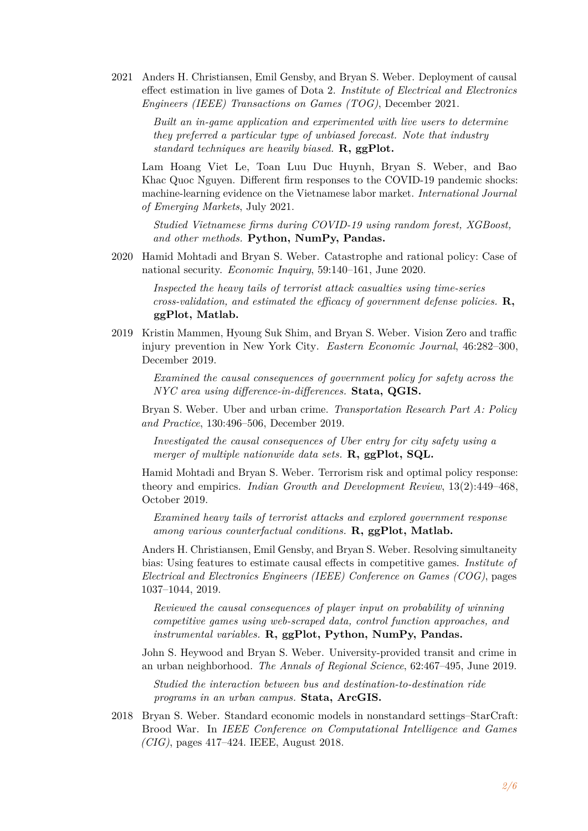2021 Anders H. Christiansen, Emil Gensby, and Bryan S. Weber. Deployment of causal effect estimation in live games of Dota 2. *Institute of Electrical and Electronics Engineers (IEEE) Transactions on Games (TOG)*, December 2021.

> *Built an in-game application and experimented with live users to determine they preferred a particular type of unbiased forecast. Note that industry standard techniques are heavily biased.* **R, ggPlot.**

Lam Hoang Viet Le, Toan Luu Duc Huynh, Bryan S. Weber, and Bao Khac Quoc Nguyen. Different firm responses to the COVID-19 pandemic shocks: machine-learning evidence on the Vietnamese labor market. *International Journal of Emerging Markets*, July 2021.

*Studied Vietnamese firms during COVID-19 using random forest, XGBoost, and other methods.* **Python, NumPy, Pandas.**

2020 Hamid Mohtadi and Bryan S. Weber. Catastrophe and rational policy: Case of national security. *Economic Inquiry*, 59:140–161, June 2020.

*Inspected the heavy tails of terrorist attack casualties using time-series cross-validation, and estimated the efficacy of government defense policies.* **R, ggPlot, Matlab.**

2019 Kristin Mammen, Hyoung Suk Shim, and Bryan S. Weber. Vision Zero and traffic injury prevention in New York City. *Eastern Economic Journal*, 46:282–300, December 2019.

> *Examined the causal consequences of government policy for safety across the NYC area using difference-in-differences.* **Stata, QGIS.**

Bryan S. Weber. Uber and urban crime. *Transportation Research Part A: Policy and Practice*, 130:496–506, December 2019.

*Investigated the causal consequences of Uber entry for city safety using a merger of multiple nationwide data sets.* **R, ggPlot, SQL.**

Hamid Mohtadi and Bryan S. Weber. Terrorism risk and optimal policy response: theory and empirics. *Indian Growth and Development Review*, 13(2):449–468, October 2019.

*Examined heavy tails of terrorist attacks and explored government response among various counterfactual conditions.* **R, ggPlot, Matlab.**

Anders H. Christiansen, Emil Gensby, and Bryan S. Weber. Resolving simultaneity bias: Using features to estimate causal effects in competitive games. *Institute of Electrical and Electronics Engineers (IEEE) Conference on Games (COG)*, pages 1037–1044, 2019.

*Reviewed the causal consequences of player input on probability of winning competitive games using web-scraped data, control function approaches, and instrumental variables.* **R, ggPlot, Python, NumPy, Pandas.**

John S. Heywood and Bryan S. Weber. University-provided transit and crime in an urban neighborhood. *The Annals of Regional Science*, 62:467–495, June 2019.

*Studied the interaction between bus and destination-to-destination ride programs in an urban campus.* **Stata, ArcGIS.**

2018 Bryan S. Weber. Standard economic models in nonstandard settings–StarCraft: Brood War. In *IEEE Conference on Computational Intelligence and Games (CIG)*, pages 417–424. IEEE, August 2018.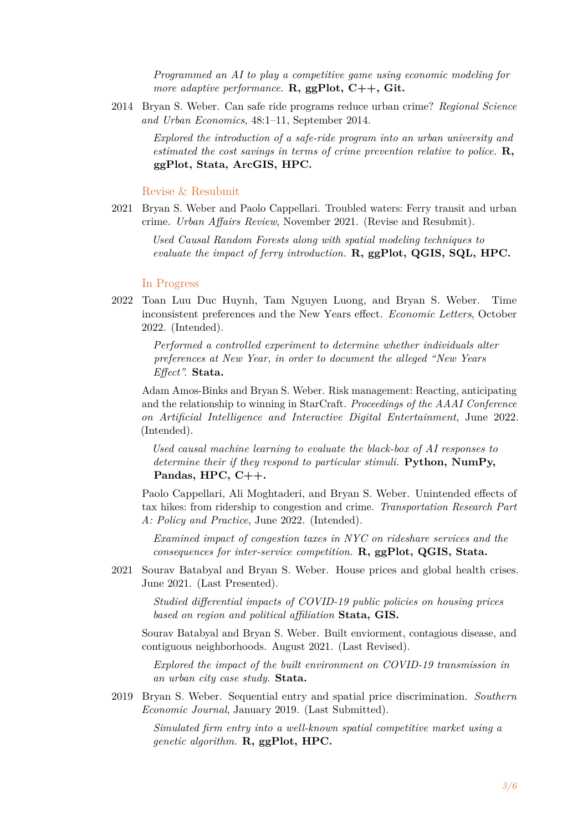*Programmed an AI to play a competitive game using economic modeling for more adaptive performance.* **R, ggPlot, C++, Git.**

2014 Bryan S. Weber. Can safe ride programs reduce urban crime? *Regional Science and Urban Economics*, 48:1–11, September 2014.

> *Explored the introduction of a safe-ride program into an urban university and estimated the cost savings in terms of crime prevention relative to police.* **R, ggPlot, Stata, ArcGIS, HPC.**

#### Revise & Resubmit

2021 Bryan S. Weber and Paolo Cappellari. Troubled waters: Ferry transit and urban crime. *Urban Affairs Review*, November 2021. (Revise and Resubmit).

> *Used Causal Random Forests along with spatial modeling techniques to evaluate the impact of ferry introduction.* **R, ggPlot, QGIS, SQL, HPC.**

#### In Progress

2022 Toan Luu Duc Huynh, Tam Nguyen Luong, and Bryan S. Weber. Time inconsistent preferences and the New Years effect. *Economic Letters*, October 2022. (Intended).

> *Performed a controlled experiment to determine whether individuals alter preferences at New Year, in order to document the alleged "New Years Effect".* **Stata.**

Adam Amos-Binks and Bryan S. Weber. Risk management: Reacting, anticipating and the relationship to winning in StarCraft. *Proceedings of the AAAI Conference on Artificial Intelligence and Interactive Digital Entertainment*, June 2022. (Intended).

*Used causal machine learning to evaluate the black-box of AI responses to determine their if they respond to particular stimuli.* **Python, NumPy, Pandas, HPC, C++.**

Paolo Cappellari, Ali Moghtaderi, and Bryan S. Weber. Unintended effects of tax hikes: from ridership to congestion and crime. *Transportation Research Part A: Policy and Practice*, June 2022. (Intended).

*Examined impact of congestion taxes in NYC on rideshare services and the consequences for inter-service competition.* **R, ggPlot, QGIS, Stata.**

2021 Sourav Batabyal and Bryan S. Weber. House prices and global health crises. June 2021. (Last Presented).

> *Studied differential impacts of COVID-19 public policies on housing prices based on region and political affiliation* **Stata, GIS.**

Sourav Batabyal and Bryan S. Weber. Built enviorment, contagious disease, and contiguous neighborhoods. August 2021. (Last Revised).

*Explored the impact of the built environment on COVID-19 transmission in an urban city case study.* **Stata.**

2019 Bryan S. Weber. Sequential entry and spatial price discrimination. *Southern Economic Journal*, January 2019. (Last Submitted).

*Simulated firm entry into a well-known spatial competitive market using a genetic algorithm.* **R, ggPlot, HPC.**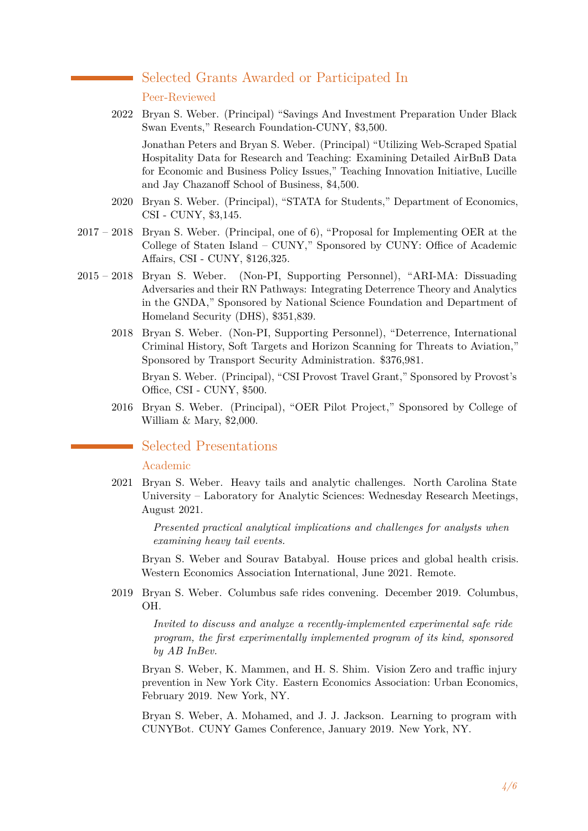## Selected Grants Awarded or Participated In

#### Peer-Reviewed

2022 Bryan S. Weber. (Principal) "Savings And Investment Preparation Under Black Swan Events," Research Foundation-CUNY, \$3,500.

Jonathan Peters and Bryan S. Weber. (Principal) "Utilizing Web-Scraped Spatial Hospitality Data for Research and Teaching: Examining Detailed AirBnB Data for Economic and Business Policy Issues," Teaching Innovation Initiative, Lucille and Jay Chazanoff School of Business, \$4,500.

- 2020 Bryan S. Weber. (Principal), "STATA for Students," Department of Economics, CSI - CUNY, \$3,145.
- 2017 2018 Bryan S. Weber. (Principal, one of 6), "Proposal for Implementing OER at the College of Staten Island – CUNY," Sponsored by CUNY: Office of Academic Affairs, CSI - CUNY, \$126,325.
- 2015 2018 Bryan S. Weber. (Non-PI, Supporting Personnel), "ARI-MA: Dissuading Adversaries and their RN Pathways: Integrating Deterrence Theory and Analytics in the GNDA," Sponsored by National Science Foundation and Department of Homeland Security (DHS), \$351,839.
	- 2018 Bryan S. Weber. (Non-PI, Supporting Personnel), "Deterrence, International Criminal History, Soft Targets and Horizon Scanning for Threats to Aviation," Sponsored by Transport Security Administration. \$376,981.

Bryan S. Weber. (Principal), "CSI Provost Travel Grant," Sponsored by Provost's Office, CSI - CUNY, \$500.

2016 Bryan S. Weber. (Principal), "OER Pilot Project," Sponsored by College of William & Mary, \$2,000.

## Selected Presentations

#### Academic

2021 Bryan S. Weber. Heavy tails and analytic challenges. North Carolina State University – Laboratory for Analytic Sciences: Wednesday Research Meetings, August 2021.

> *Presented practical analytical implications and challenges for analysts when examining heavy tail events.*

Bryan S. Weber and Sourav Batabyal. House prices and global health crisis. Western Economics Association International, June 2021. Remote.

2019 Bryan S. Weber. Columbus safe rides convening. December 2019. Columbus, OH.

> *Invited to discuss and analyze a recently-implemented experimental safe ride program, the first experimentally implemented program of its kind, sponsored by AB InBev.*

Bryan S. Weber, K. Mammen, and H. S. Shim. Vision Zero and traffic injury prevention in New York City. Eastern Economics Association: Urban Economics, February 2019. New York, NY.

Bryan S. Weber, A. Mohamed, and J. J. Jackson. Learning to program with CUNYBot. CUNY Games Conference, January 2019. New York, NY.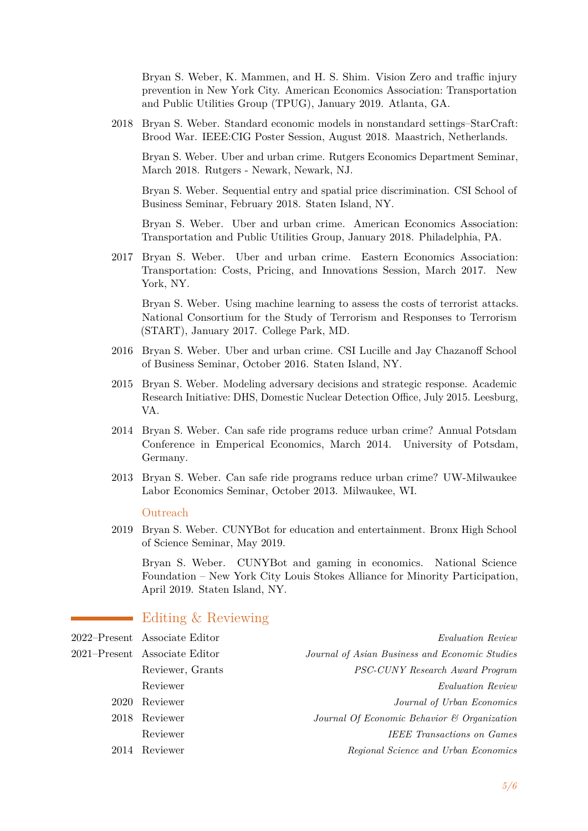Bryan S. Weber, K. Mammen, and H. S. Shim. Vision Zero and traffic injury prevention in New York City. American Economics Association: Transportation and Public Utilities Group (TPUG), January 2019. Atlanta, GA.

2018 Bryan S. Weber. Standard economic models in nonstandard settings–StarCraft: Brood War. IEEE:CIG Poster Session, August 2018. Maastrich, Netherlands.

Bryan S. Weber. Uber and urban crime. Rutgers Economics Department Seminar, March 2018. Rutgers - Newark, Newark, NJ.

Bryan S. Weber. Sequential entry and spatial price discrimination. CSI School of Business Seminar, February 2018. Staten Island, NY.

Bryan S. Weber. Uber and urban crime. American Economics Association: Transportation and Public Utilities Group, January 2018. Philadelphia, PA.

2017 Bryan S. Weber. Uber and urban crime. Eastern Economics Association: Transportation: Costs, Pricing, and Innovations Session, March 2017. New York, NY.

Bryan S. Weber. Using machine learning to assess the costs of terrorist attacks. National Consortium for the Study of Terrorism and Responses to Terrorism (START), January 2017. College Park, MD.

- 2016 Bryan S. Weber. Uber and urban crime. CSI Lucille and Jay Chazanoff School of Business Seminar, October 2016. Staten Island, NY.
- 2015 Bryan S. Weber. Modeling adversary decisions and strategic response. Academic Research Initiative: DHS, Domestic Nuclear Detection Office, July 2015. Leesburg, VA.
- 2014 Bryan S. Weber. Can safe ride programs reduce urban crime? Annual Potsdam Conference in Emperical Economics, March 2014. University of Potsdam, Germany.
- 2013 Bryan S. Weber. Can safe ride programs reduce urban crime? UW-Milwaukee Labor Economics Seminar, October 2013. Milwaukee, WI.

#### Outreach

2019 Bryan S. Weber. CUNYBot for education and entertainment. Bronx High School of Science Seminar, May 2019.

Bryan S. Weber. CUNYBot and gaming in economics. National Science Foundation – New York City Louis Stokes Alliance for Minority Participation, April 2019. Staten Island, NY.

## Editing & Reviewing

| <i>Evaluation Review</i>                       | 2022–Present Associate Editor |      |
|------------------------------------------------|-------------------------------|------|
| Journal of Asian Business and Economic Studies | 2021–Present Associate Editor |      |
| PSC-CUNY Research Award Program                | Reviewer, Grants              |      |
| Evaluation Review                              | Reviewer                      |      |
| Journal of Urban Economics                     | Reviewer                      | 2020 |
| Journal Of Economic Behavior & Organization    | 2018 Reviewer                 |      |
| <b>IEEE</b> Transactions on Games              | Reviewer                      |      |
| Regional Science and Urban Economics           | 2014 Reviewer                 |      |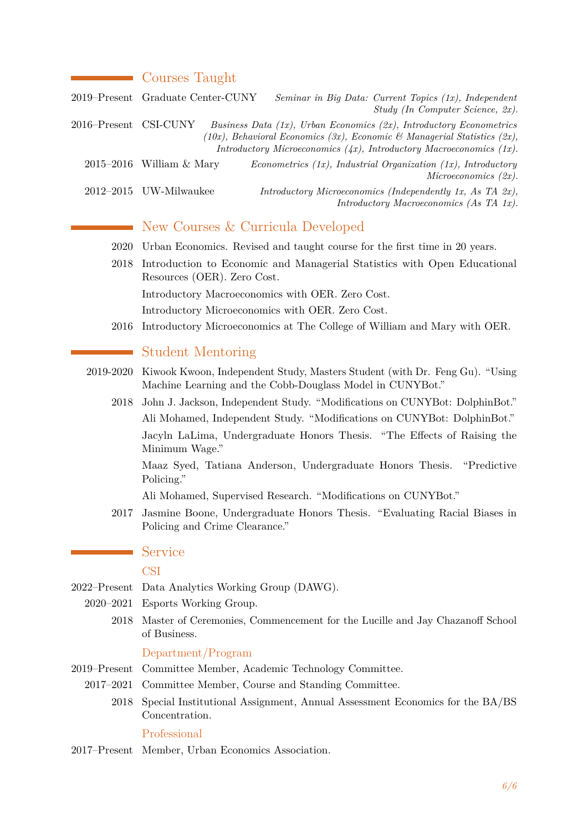## **Courses Taught**

|                       | 2019–Present Graduate Center-CUNY | Seminar in Big Data: Current Topics (1x), Independent<br>Study (In Computer Science, 2x).                                                                                                                                          |
|-----------------------|-----------------------------------|------------------------------------------------------------------------------------------------------------------------------------------------------------------------------------------------------------------------------------|
| 2016–Present CSI-CUNY |                                   | Business Data $(1x)$ , Urban Economics $(2x)$ , Introductory Econometrics<br>(10x), Behavioral Economics (3x), Economic & Managerial Statistics (2x),<br>Introductory Microeconomics $(4x)$ , Introductory Macroeconomics $(1x)$ . |
|                       | $2015-2016$ William & Mary        | Econometrics (1x), Industrial Organization (1x), Introductory<br>Microeconomics $(2x)$ .                                                                                                                                           |
|                       | 2012-2015 UW-Milwaukee            | Introductory Microeconomics (Independently 1x, As TA $(2x)$ ),<br>Introductory Macroeconomics (As TA 1x).                                                                                                                          |

# New Courses & Curricula Developed

- 2020 Urban Economics. Revised and taught course for the first time in 20 years.
- 2018 Introduction to Economic and Managerial Statistics with Open Educational Resources (OER). Zero Cost.

Introductory Macroeconomics with OER. Zero Cost.

Introductory Microeconomics with OER. Zero Cost.

2016 Introductory Microeconomics at The College of William and Mary with OER.

## Student Mentoring

- 2019-2020 Kiwook Kwoon, Independent Study, Masters Student (with Dr. Feng Gu). "Using Machine Learning and the Cobb-Douglass Model in CUNYBot."
	- 2018 John J. Jackson, Independent Study. "Modifications on CUNYBot: DolphinBot." Ali Mohamed, Independent Study. "Modifications on CUNYBot: DolphinBot." Jacyln LaLima, Undergraduate Honors Thesis. "The Effects of Raising the Minimum Wage."

Maaz Syed, Tatiana Anderson, Undergraduate Honors Thesis. "Predictive Policing."

Ali Mohamed, Supervised Research. "Modifications on CUNYBot."

2017 Jasmine Boone, Undergraduate Honors Thesis. "Evaluating Racial Biases in Policing and Crime Clearance."

#### Service

### **CSI**

- 2022–Present Data Analytics Working Group (DAWG).
	- 2020–2021 Esports Working Group.
		- 2018 Master of Ceremonies, Commencement for the Lucille and Jay Chazanoff School of Business.

#### Department/Program

- 2019–Present Committee Member, Academic Technology Committee.
- 2017–2021 Committee Member, Course and Standing Committee.
	- 2018 Special Institutional Assignment, Annual Assessment Economics for the BA/BS Concentration.

#### Professional

2017–Present Member, Urban Economics Association.